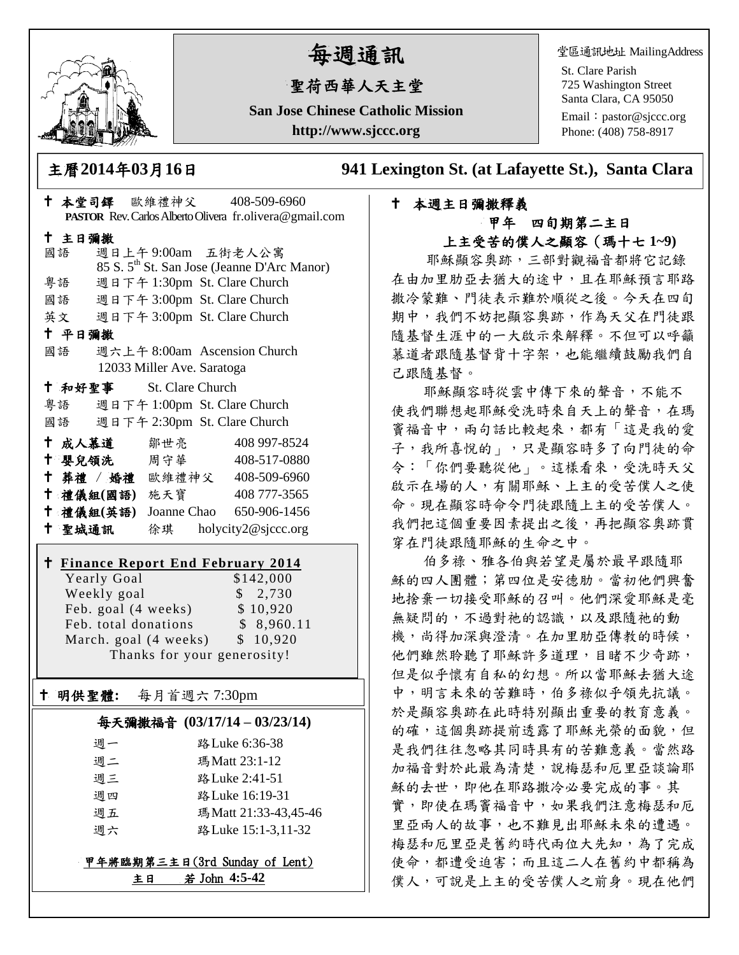

# 每週通訊

## 聖荷西華人天主堂

**San Jose Chinese Catholic Mission http://www.sjccc.org**

堂區通訊地址 MailingAddress

St. Clare Parish 725 Washington Street Santa Clara, CA 95050

Email: [pastor@sjccc.org](mailto:pastor@sjccc.org) Phone: (408) 758-8917

主曆**2014**年**03**月**16**日 **941 Lexington St. (at Lafayette St.), Santa Clara** 

## 本週主日彌撒釋義 甲年 四旬期第二主日

上主受苦的僕人之顯容(瑪十七 **1~9)**

 耶穌顯容奧跡,三部對觀福音都將它記錄 在由加里肋亞去猶大的途中,且在耶穌預言耶路 撒冷蒙難、門徒表示難於順從之後。今天在四旬 期中,我們不妨把顯容奧跡,作為天父在門徒跟 隨基督生涯中的一大啟示來解釋。不但可以呼籲 慕道者跟隨基督背十字架,也能繼續鼓勵我們自 己跟隨基督。

耶穌顯容時從雲中傳下來的聲音,不能不 使我們聯想起耶穌受洗時來自天上的聲音,在瑪 竇福音中,兩句話比較起來,都有「這是我的愛 子,我所喜悅的」,只是顯容時多了向門徒的命 令:「你們要聽從他」。這樣看來,受洗時天父 啟示在場的人,有關耶穌、上主的受苦僕人之使 命。現在顯容時命令門徒跟隨上主的受苦僕人。 我們把這個重要因素提出之後,再把顯容奧跡貫 穿在門徒跟隨耶穌的生命之中。

伯多祿、雅各伯與若望是屬於最早跟隨耶 穌的四人團體;第四位是安德肋。當初他們興奮 地捨棄一切接受耶穌的召叫。他們深愛耶穌是毫 無疑問的,不過對祂的認識,以及跟隨祂的動 機,尚得加深與澄清。在加里肋亞傳教的時候, 他們雖然聆聽了耶穌許多道理,目睹不少奇跡, 但是似乎懷有自私的幻想。所以當耶穌去猶大途 中,明言未來的苦難時,伯多祿似乎領先抗議。 於是顯容奧跡在此時特別顯出重要的教育意義。 的確,這個奧跡提前透露了耶穌光榮的面貌,但 是我們往往忽略其同時具有的苦難意義。當然路 加福音對於此最為清楚,說梅瑟和厄里亞談論耶 穌的去世,即他在耶路撒冷必要完成的事。其 實,即使在瑪竇福音中,如果我們注意梅瑟和厄 里亞兩人的故事,也不難見出耶穌未來的遭遇。 梅瑟和厄里亞是舊約時代兩位大先知,為了完成 使命,都遭受迫害;而且這二人在舊約中都稱為 僕人,可說是上主的受苦僕人之前身。現在他們

|                            |                                                          |                              | † 本堂司鐸 歐維禮神父 408-509-6960                               |  |
|----------------------------|----------------------------------------------------------|------------------------------|---------------------------------------------------------|--|
|                            |                                                          |                              | PASTOR Rev. Carlos Alberto Olivera fr.olivera@gmail.com |  |
| 十 主日彌撒                     |                                                          |                              |                                                         |  |
|                            | 國語                                                       | 週日上午9:00am 五街老人公寓            |                                                         |  |
|                            |                                                          |                              | 85 S. 5 <sup>th</sup> St. San Jose (Jeanne D'Arc Manor) |  |
|                            | 粤語                                                       | 週日下午 1:30pm St. Clare Church |                                                         |  |
|                            | 國語                                                       | 週日下午 3:00pm St. Clare Church |                                                         |  |
|                            | 英文                                                       | 週日下午 3:00pm St. Clare Church |                                                         |  |
| 十 平日彌撒                     |                                                          |                              |                                                         |  |
|                            | 國語                                                       |                              | 週六上午 8:00am Ascension Church                            |  |
|                            |                                                          | 12033 Miller Ave. Saratoga   |                                                         |  |
|                            | <sup>†</sup> 和好聖事 St. Clare Church                       |                              |                                                         |  |
|                            | 粵語                                                       | 週日下午 1:00pm St. Clare Church |                                                         |  |
|                            | 國語                                                       | 週日下午 2:30pm St. Clare Church |                                                         |  |
|                            | † 成人慕道   鄒世亮                                             |                              | 408 997-8524                                            |  |
|                            | ← 嬰兒領洗 周守華                                               |                              | 408-517-0880                                            |  |
|                            |                                                          |                              | † 葬禮 / 婚禮 歐維禮神父 408-509-6960                            |  |
|                            | 十 禮儀組(國語) 施天寶                                            |                              | 408 777-3565                                            |  |
|                            |                                                          |                              | † 禮儀組(英語) Joanne Chao 650-906-1456                      |  |
|                            | 十 聖城通訊                                                   |                              | 徐琪 holycity2@sjccc.org                                  |  |
|                            |                                                          |                              |                                                         |  |
|                            |                                                          |                              |                                                         |  |
|                            | <b>† Finance Report End February 2014</b><br>Yearly Goal |                              | \$142,000                                               |  |
|                            | Weekly goal                                              |                              | \$2,730                                                 |  |
|                            | Feb. goal (4 weeks)                                      |                              | \$10,920                                                |  |
|                            | Feb. total donations                                     |                              | \$8,960.11                                              |  |
|                            | March. goal (4 weeks)                                    |                              | \$10,920                                                |  |
|                            |                                                          | Thanks for your generosity!  |                                                         |  |
|                            |                                                          |                              |                                                         |  |
| † ∣                        | 明供聖體: 每月首週六 7:30pm                                       |                              |                                                         |  |
| 気工恐獣指立 (02/17/14 02/22/14) |                                                          |                              |                                                         |  |

#### 每天彌撒福音 **(03/17/14 – 03/23/14)**

| 週一 | 路 Luke 6:36-38       |
|----|----------------------|
| 週二 | 瑪Matt 23:1-12        |
| 週三 | 路 Luke 2:41-51       |
| 週四 | 路 Luke 16:19-31      |
| 週五 | 瑪Matt 21:33-43,45-46 |
| 调六 | 路 Luke 15:1-3,11-32  |
|    |                      |

#### 甲年將臨期第三主日(3rd Sunday of Lent) 主日 若 John **4:5-42**

 $\overline{\phantom{a}}$